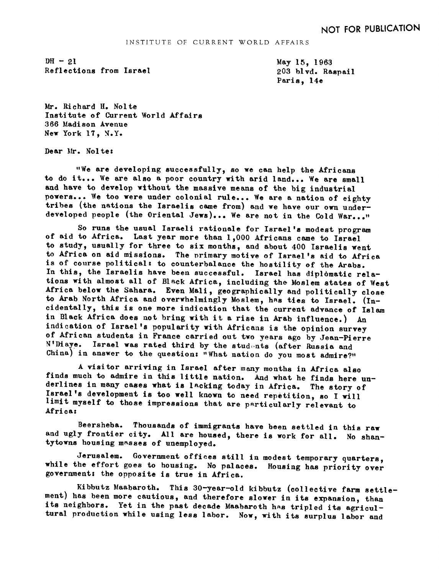$DH - 21$ Reflections from Israel May 15, 1963 203 blvd. Raspail Paris, 14e

Mr. Richard H. Nolte Institute of Current World Affairs 366 Madison Avenue New York 17, N.Y.

Dear Mr. Nolte:

"We are developing successfully so we can help the Africans to do it... We are also a poor country with arid land... We are small and have to develop without the massive means of the big industrial powers... We too were under colonial rule... We are a nation of eighty tribes (the nations the Israelis came from) and we have our own underdeveloped people (the Oriental Jews)... We are not in the Cold War..."

So runs the usual Israeli rationale for Israel's modest program of aid to Africa. Last year more than 1,000 Africans came to Israel to study, usually for three to six months, and about 400 Israelis went to Africa on aid missions. The primary motive of Israel's aid to Africa is of course political: to counterbalance the hostility of the Arabs. In this, the Israelis have been successful. Israel has diplomatic relations with almost all of Black Africa, including the Moslem states of West Africa below the Sahara. Even Mali, geographically and politically close to Arab North Africa and overwhelmingly Moslem, has ties to Israel. (Incidentally, this is one more indication that the current advance of Islam in Black Africa does not bring with it a rise in Arab influence.) An indication of Israel's popularity with Africans is the opinion survey of African students in France carried out two years ago by Jean-Pierre N'Diaye. Israel was rated third by the students (after Russia and China) in answer to the question: "What nation do you most admire?"

A visitor arriving in Israel after many months in Africa also finds much to admire in this little nation. And what he finds here underlines in many cases what is lacking today in Africa. The story of Israel's development is too well known to need repetition, so I will limit myself to those impressions that are particularly relevant to Africa:

Beersheba. Thousands of immigrants have been settled in this raw and ugly frontier city. All are housed, there is work for all. No shan-<br>tytowns housing masses of unemployed.

Jerusalem. Government offices still in modest temporary quarters, while the effort goes to housing. No palaces. Housing has priority over government: the opposite is true in Africa.

Kibbutz Maabaroth. This 30-year-old kibbutz (collective farm settle-<br>ment) has been more cautious, and therefore slower in its expansion, than<br>its neighbors. Yet in the past decade Maabaroth has tripled its agricul-<br>tural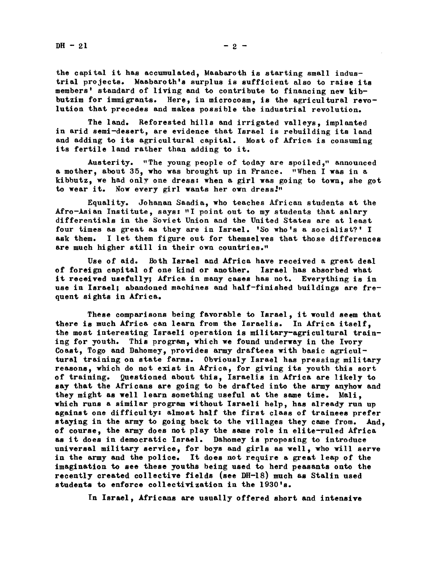the capital it has accumulated, Maabaroth is starting small industrial projects. Maabaroth's surplus is sufficient also to raise its members' standard of living and to contribute to financing new kibbutzim for immigrants. Here, in microcosm, is the agricultural revolution that precedes and makes possible the industrial revolution.

The land. Reforested hills and irrigated valleys, implanted in arid semi-desert, are evidence that Israel is rebuilding its land and adding to its agricultural capital. Most of Africa is consuming its fertile land rather than adding to it.

Austerity. "The young people of today are spoiled," announced a mother, about 35, who was brought up in France. "When I was in a kibbutz, we had only one dress: when a girl was going to town, she got to wear it. Now every girl wants her own dress."

Equality. Johanan Saadia, who teaches African students at the Afro-Asian Institute, says: "I point out to my students that salary differentials in the Soviet Union and the United States are at least four times as great as they are in Israel. 'So who's a socialist?' I ask them, <sup>I</sup> let them figure out for themselves that those differences are much higher still in their own countries."

Use of aid. Both Israel and Africa have received a great deal of foreign capital of one kind or another, Israel has absorbed what it received usefully; Africa in many cases has not. Everything is in use in Israel; abandoned machines and half-finished buildings are frequent sights in Africa,

These comparisons being favorable to Israel, it would seem that there is much Africa can learn from the Israelis. In Africa itself, the most interesting Israeli operation is military-agricultural training for youth. This program, which we found underway in the Ivory Coast, Togo and Dahomey, provides army draftees with basic agricultural training on state farms. Obviously Israel has pressing military reasons, which do not exist in Africa, for giving its youth this sort of training. Questioned about this, Israelis in Africa are likely to say that the Africans are going to be drafted into the army anyhow and they might as well learn something useful at the same time. Mali. which runs a similar program without Israeli help, has already run up against one difficulty: almost half the first class of trainees prefer staying in the army to going back to the villages they came from. And, of course, the army does not play the same role in elite-ruled Africa as it does in democratic Israel. Dahomey is proposing to introduce universal military service, for boys and girls as well, who will serve in the army and the police, It does not require a great leap of the imagination to see these youths being used to herd peasants onto the recently created collective fields (see DH-18) much as Stalin used students to enforce collectivization in the 1930's.

In Israel, Africans are usually offered short and intensive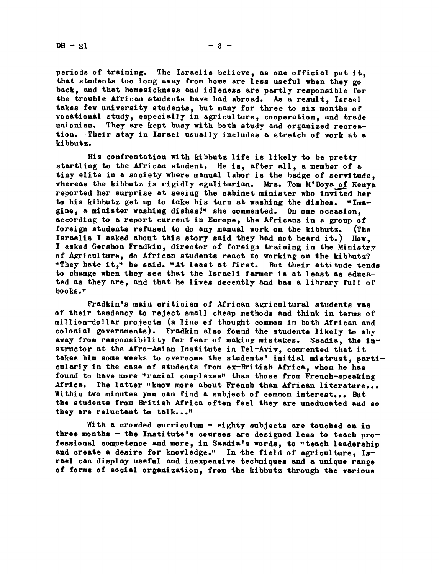periods of training. The Israelis believe, as one official put it. that students too long away from home are less useful when they go back and that homesickness and idleness are partly responsible for the trouble African students have had abroad. As a result. Israel takes few university students, but many for three to six months of vocational study, especially in agriculture, cooperation, and trade unionism. They are kept busy with both study and organized recrea-<br>tion. Their stay in Israel usually includes a stretch of work at a Their stay in Israel usually includes a stretch of work at a kibbutz.

His confrontation with kibbutz life is likely to be pretty startling to the African student. He is, after all, a member of a tiny elite in a society where manual labor is the badge of servitude. whereas the kibbutz is rigidly egalitarian. Mrs. Tom M'Boya of Kenya reported her surprise at seeing the cabinet minister who invited her to his kibbutz get up to take his turn at washing the dishes. "Imagine, a minister washing dishes." she commented. On one occasion. according to a report current in Europe, the Africans in a group of foreign students refused to do any manual work on the kibbutz. (The Israelis I asked about this story said they had not heard it.) How. I asked Gershon Fradkin, director of foreign training in the Ministry of Agriculture, do African students react to working on the kibbutz?<br>"They hate it," he said. "At least at first. But their attitude tends "They hate it," he said. "At least at first. to change when they see that the Israeli farmer is at least as educated as they are, and that he lives decently and has a library full of books."

Fradkin's main criticism of African agricultural students was of their tendency to reject small cheap mehods and think in terms of million-dollar projects (a line of thought common in both African and colonial governments). Fradkin also found the students likely to shy away from responsibility for fear of making mistakes. Saadia, the instructor at the Afro-Asian Institute in Tel-Aviv, commented that it takes him some weeks to overcome the students' initial mistrust, particularly in the case of students from ex-British Africa, whom he has found to have more "racial complexes" than those from French-speaking Africa. The latter "know more about French than African literature... Within two minutes you can find a subject of common interest... But the students from British Africa often feel they are uneducated and so they are reluctant to talk..."

With a crowded curriculum - eighty subjects are touched on in three months - the Institute's courses are designed less to teach professional competence and more, in Saadia\*s words, to "teach leadership and create a desire for knowledge." In the field of agriculture, Israel can display useful and inexpensive techniques and a unique range of forms of social organization, from the kibbutz through the various